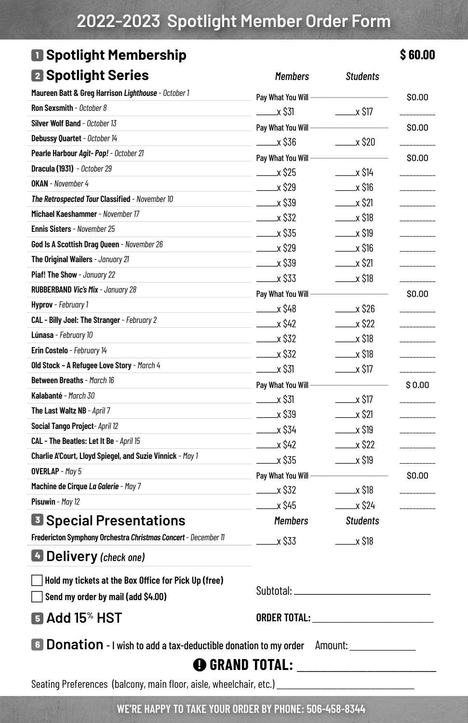## **2022-2023 Spotlight Member Order Form**

#### **<sup>1</sup> Spotlight Membership \$ 60.00 <sup>2</sup> Spotlight Series** *Members Students*

| <b>Machamatolica</b>                                                                                                                                                                                               | ,,,,,,,,,,                   |                             |              |  |  |
|--------------------------------------------------------------------------------------------------------------------------------------------------------------------------------------------------------------------|------------------------------|-----------------------------|--------------|--|--|
| Maureen Batt & Greg Harrison Lighthouse - October 1                                                                                                                                                                | Pay What You Will -          |                             | \$0.00       |  |  |
| Ron Sexsmith - October 8                                                                                                                                                                                           | _x \$31                      | $\frac{1}{2}$ x \$17        |              |  |  |
| Silver Wolf Band - October 13                                                                                                                                                                                      | Pay What You Will -          |                             | \$0.00       |  |  |
| Debussy Quartet - October 14                                                                                                                                                                                       | ______x \$36                 | $\frac{1}{2}$ $\times$ \$20 |              |  |  |
| Pearle Harbour Agit-Pop! - October 21                                                                                                                                                                              | Pay What You Will -          |                             | \$0.00       |  |  |
| Dracula (1931) - October 29                                                                                                                                                                                        | $\frac{\ }{2}$ x S25         | $\frac{1}{2}$ x \$14        |              |  |  |
| <b>OKAN</b> - November 4                                                                                                                                                                                           | $\frac{\ }{20}$ x \$29       | $\frac{1}{2}$ $\times$ \$16 | ------------ |  |  |
| The Retrospected Tour Classified - November 10                                                                                                                                                                     | $\frac{1}{2}$ $\times$ \$39  | $\frac{\ }{2}$ x \$21       | ------------ |  |  |
| Michael Kaeshammer - November 17                                                                                                                                                                                   | $\frac{\ }{2}$ $\times$ \$32 | $\frac{1}{2}$ x \$18        |              |  |  |
| Ennis Sisters - November 25                                                                                                                                                                                        | $\frac{1}{2}$ x \$35         | $\frac{1}{2}$ $\times$ \$19 |              |  |  |
| God Is A Scottish Drag Queen - November 26                                                                                                                                                                         | $\frac{1}{2}$ x \$29         | $\frac{1}{2}$ $\times$ \$16 |              |  |  |
| The Original Wailers - January 21                                                                                                                                                                                  | $\frac{\ }{2}$ x S39         | $\xrightarrow{\sim}$ \$21   | -----------  |  |  |
| Piaf! The Show - January 22                                                                                                                                                                                        | $\frac{1}{2}$ \$33           | $\frac{1}{2}$ x \$18        |              |  |  |
| RUBBERBAND Vic's Mix - January 28                                                                                                                                                                                  | Pay What You Will -          |                             | \$0.00       |  |  |
| Hyprov - February 1                                                                                                                                                                                                | $\frac{\ }{2}$ $\times$ \$48 | $\frac{\ }{26}$ x \$26      |              |  |  |
| CAL - Billy Joel: The Stranger - February 2                                                                                                                                                                        | $\frac{\ }{2}$ $\times$ \$42 | $\frac{1}{2}$ x \$22        |              |  |  |
| Lúnasa - February 10                                                                                                                                                                                               | $\frac{1}{2}$ $\times$ \$32  | $\frac{1}{2}$ x \$18        |              |  |  |
| Erin Costelo - February 14                                                                                                                                                                                         | $2x$ \$32                    | $\frac{1}{2}$ $\times$ \$18 | -----------  |  |  |
| Old Stock - A Refugee Love Story - March 4                                                                                                                                                                         | $\frac{1}{2}$ x \$31         | $\frac{1}{2}$ x \$17        |              |  |  |
| Between Breaths - March 16                                                                                                                                                                                         | Pay What You Will -          |                             | \$0.00       |  |  |
| Kalabanté - March 30                                                                                                                                                                                               | $\frac{1}{2}$ $\times$ \$31  | $\frac{1}{2}$ x \$17        |              |  |  |
| The Last Waltz NB - April 7                                                                                                                                                                                        | $\frac{1}{2}$ $\times$ \$39  | $\sim$ $\times$ \$21        |              |  |  |
| Social Tango Project- April 12                                                                                                                                                                                     | $- x $34$                    | $\frac{1}{2}$ $\times$ \$19 |              |  |  |
| CAL - The Beatles: Let It Be - April 15                                                                                                                                                                            | $\frac{\ }{2}$ x \$42        | $\frac{1}{2}$ x \$22        |              |  |  |
| Charlie A'Court, Lloyd Spiegel, and Suzie Vinnick - May 1                                                                                                                                                          | $\frac{1}{2}$ x \$35         | $\frac{1}{2}$ x \$19        |              |  |  |
| <b>OVERLAP</b> - May 5                                                                                                                                                                                             | Pay What You Will -          |                             | \$0.00       |  |  |
| Machine de Cirque La Galerie - May 7                                                                                                                                                                               | ________x \$32               | $\frac{1}{2}$ $\times$ \$18 |              |  |  |
| Pisuwin - May 12                                                                                                                                                                                                   | _______x \$45                | $\frac{\ }{2}$ x \$24       |              |  |  |
| <b>B</b> Special Presentations                                                                                                                                                                                     | <b>Members</b>               | <b>Students</b>             |              |  |  |
| Fredericton Symphony Orchestra Christmas Concert - December 11                                                                                                                                                     | _x \$33                      | $\frac{1}{2}$ x \$18        |              |  |  |
| 4 Delivery (check one)                                                                                                                                                                                             |                              |                             |              |  |  |
| Hold my tickets at the Box Office for Pick Up (free)                                                                                                                                                               |                              |                             |              |  |  |
| Send my order by mail (add \$4.00)                                                                                                                                                                                 |                              |                             |              |  |  |
| $\blacksquare$ Add 15 $\mathrm{\textdegree}$ HST                                                                                                                                                                   | ORDER TOTAL: <b>Annual</b>   |                             |              |  |  |
| <b>6</b> Donation - I wish to add a tax-deductible donation to my order<br>Amount: Amount: Amount: Amount: Amount: Amount: Amount: Amount: Amount: Amount: Amount: Amount: Amount: Amount<br><b>@</b> Grand Total: |                              |                             |              |  |  |

Seating Preferences (balcony, main floor, aisle, wheelchair, etc.)

**WE'RE HAPPY TO TAKE YOUR ORDER BY PHONE: 506-458-8344**